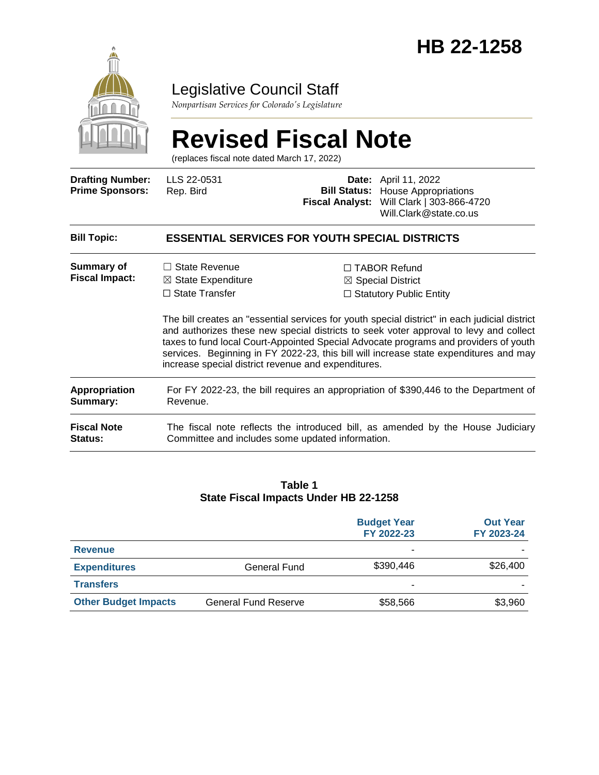

# Legislative Council Staff

*Nonpartisan Services for Colorado's Legislature*

# **Revised Fiscal Note**

(replaces fiscal note dated March 17, 2022)

| <b>Drafting Number:</b><br><b>Prime Sponsors:</b> | LLS 22-0531<br>Rep. Bird                                                                                                              |  | Date: April 11, 2022<br><b>Bill Status:</b> House Appropriations<br>Fiscal Analyst: Will Clark   303-866-4720<br>Will.Clark@state.co.us                                                                                                                                                                                                                                                                                                                          |  |  |  |
|---------------------------------------------------|---------------------------------------------------------------------------------------------------------------------------------------|--|------------------------------------------------------------------------------------------------------------------------------------------------------------------------------------------------------------------------------------------------------------------------------------------------------------------------------------------------------------------------------------------------------------------------------------------------------------------|--|--|--|
| <b>Bill Topic:</b>                                | <b>ESSENTIAL SERVICES FOR YOUTH SPECIAL DISTRICTS</b>                                                                                 |  |                                                                                                                                                                                                                                                                                                                                                                                                                                                                  |  |  |  |
| Summary of<br><b>Fiscal Impact:</b>               | $\Box$ State Revenue<br>$\boxtimes$ State Expenditure<br>$\Box$ State Transfer<br>increase special district revenue and expenditures. |  | $\Box$ TABOR Refund<br>$\boxtimes$ Special District<br>$\Box$ Statutory Public Entity<br>The bill creates an "essential services for youth special district" in each judicial district<br>and authorizes these new special districts to seek voter approval to levy and collect<br>taxes to fund local Court-Appointed Special Advocate programs and providers of youth<br>services. Beginning in FY 2022-23, this bill will increase state expenditures and may |  |  |  |
| Appropriation<br>Summary:                         | For FY 2022-23, the bill requires an appropriation of \$390,446 to the Department of<br>Revenue.                                      |  |                                                                                                                                                                                                                                                                                                                                                                                                                                                                  |  |  |  |
| <b>Fiscal Note</b><br>Status:                     | The fiscal note reflects the introduced bill, as amended by the House Judiciary<br>Committee and includes some updated information.   |  |                                                                                                                                                                                                                                                                                                                                                                                                                                                                  |  |  |  |

#### **Table 1 State Fiscal Impacts Under HB 22-1258**

|                             |                             | <b>Budget Year</b><br>FY 2022-23 | <b>Out Year</b><br>FY 2023-24 |
|-----------------------------|-----------------------------|----------------------------------|-------------------------------|
| <b>Revenue</b>              |                             | -                                |                               |
| <b>Expenditures</b>         | General Fund                | \$390,446                        | \$26,400                      |
| <b>Transfers</b>            |                             | -                                |                               |
| <b>Other Budget Impacts</b> | <b>General Fund Reserve</b> | \$58,566                         | \$3,960                       |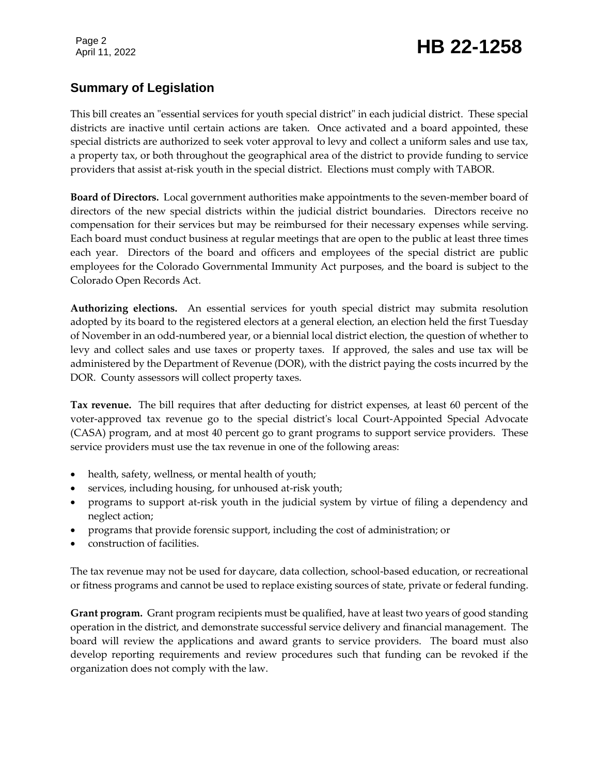Page 2

# Page 2<br>April 11, 2022 **HB 22-1258**

# **Summary of Legislation**

This bill creates an "essential services for youth special district" in each judicial district. These special districts are inactive until certain actions are taken. Once activated and a board appointed, these special districts are authorized to seek voter approval to levy and collect a uniform sales and use tax, a property tax, or both throughout the geographical area of the district to provide funding to service providers that assist at-risk youth in the special district. Elections must comply with TABOR.

**Board of Directors.** Local government authorities make appointments to the seven-member board of directors of the new special districts within the judicial district boundaries. Directors receive no compensation for their services but may be reimbursed for their necessary expenses while serving. Each board must conduct business at regular meetings that are open to the public at least three times each year. Directors of the board and officers and employees of the special district are public employees for the Colorado Governmental Immunity Act purposes, and the board is subject to the Colorado Open Records Act.

**Authorizing elections.** An essential services for youth special district may submita resolution adopted by its board to the registered electors at a general election, an election held the first Tuesday of November in an odd-numbered year, or a biennial local district election, the question of whether to levy and collect sales and use taxes or property taxes. If approved, the sales and use tax will be administered by the Department of Revenue (DOR), with the district paying the costs incurred by the DOR. County assessors will collect property taxes.

**Tax revenue.** The bill requires that after deducting for district expenses, at least 60 percent of the voter-approved tax revenue go to the special district's local Court-Appointed Special Advocate (CASA) program, and at most 40 percent go to grant programs to support service providers. These service providers must use the tax revenue in one of the following areas:

- health, safety, wellness, or mental health of youth;
- services, including housing, for unhoused at-risk youth;
- programs to support at-risk youth in the judicial system by virtue of filing a dependency and neglect action;
- programs that provide forensic support, including the cost of administration; or
- construction of facilities.

The tax revenue may not be used for daycare, data collection, school-based education, or recreational or fitness programs and cannot be used to replace existing sources of state, private or federal funding.

**Grant program.** Grant program recipients must be qualified, have at least two years of good standing operation in the district, and demonstrate successful service delivery and financial management. The board will review the applications and award grants to service providers. The board must also develop reporting requirements and review procedures such that funding can be revoked if the organization does not comply with the law.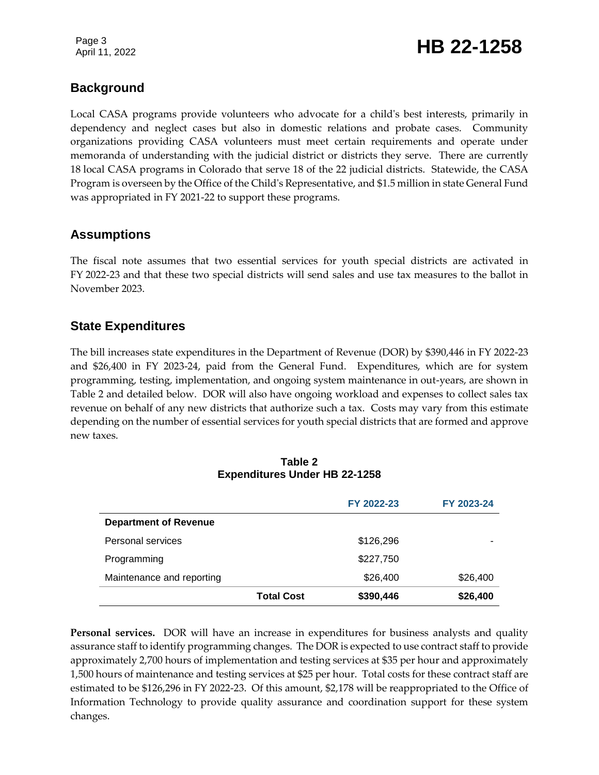Page 3

# Page 3<br>April 11, 2022 **HB 22-1258**

### **Background**

Local CASA programs provide volunteers who advocate for a child's best interests, primarily in dependency and neglect cases but also in domestic relations and probate cases. Community organizations providing CASA volunteers must meet certain requirements and operate under memoranda of understanding with the judicial district or districts they serve. There are currently 18 local CASA programs in Colorado that serve 18 of the 22 judicial districts. Statewide, the CASA Program is overseen by the Office of the Child's Representative, and \$1.5 million in state General Fund was appropriated in FY 2021-22 to support these programs.

### **Assumptions**

The fiscal note assumes that two essential services for youth special districts are activated in FY 2022-23 and that these two special districts will send sales and use tax measures to the ballot in November 2023.

### **State Expenditures**

The bill increases state expenditures in the Department of Revenue (DOR) by \$390,446 in FY 2022-23 and \$26,400 in FY 2023-24, paid from the General Fund. Expenditures, which are for system programming, testing, implementation, and ongoing system maintenance in out-years, are shown in Table 2 and detailed below. DOR will also have ongoing workload and expenses to collect sales tax revenue on behalf of any new districts that authorize such a tax. Costs may vary from this estimate depending on the number of essential services for youth special districts that are formed and approve new taxes.

|                              | <b>EXPERIGNMES ORIGITID 22-1250</b> |            |            |  |
|------------------------------|-------------------------------------|------------|------------|--|
|                              |                                     | FY 2022-23 | FY 2023-24 |  |
| <b>Department of Revenue</b> |                                     |            |            |  |
| Personal services            |                                     | \$126,296  |            |  |
| Programming                  |                                     | \$227,750  |            |  |
| Maintenance and reporting    |                                     | \$26,400   | \$26,400   |  |
|                              | <b>Total Cost</b>                   | \$390,446  | \$26,400   |  |

#### **Table 2 Expenditures Under HB 22-1258**

**Personal services.** DOR will have an increase in expenditures for business analysts and quality assurance staff to identify programming changes. The DOR is expected to use contract staff to provide approximately 2,700 hours of implementation and testing services at \$35 per hour and approximately 1,500 hours of maintenance and testing services at \$25 per hour. Total costs for these contract staff are estimated to be \$126,296 in FY 2022-23. Of this amount, \$2,178 will be reappropriated to the Office of Information Technology to provide quality assurance and coordination support for these system changes.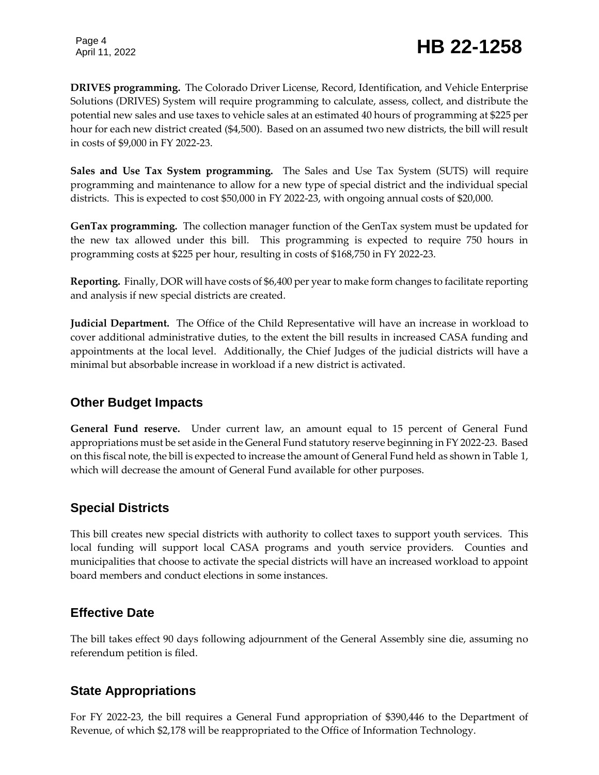Page 4

# Page 4<br>April 11, 2022 **HB 22-1258**

**DRIVES programming.** The Colorado Driver License, Record, Identification, and Vehicle Enterprise Solutions (DRIVES) System will require programming to calculate, assess, collect, and distribute the potential new sales and use taxes to vehicle sales at an estimated 40 hours of programming at \$225 per hour for each new district created (\$4,500). Based on an assumed two new districts, the bill will result in costs of \$9,000 in FY 2022-23.

**Sales and Use Tax System programming.** The Sales and Use Tax System (SUTS) will require programming and maintenance to allow for a new type of special district and the individual special districts. This is expected to cost \$50,000 in FY 2022-23, with ongoing annual costs of \$20,000.

**GenTax programming.** The collection manager function of the GenTax system must be updated for the new tax allowed under this bill. This programming is expected to require 750 hours in programming costs at \$225 per hour, resulting in costs of \$168,750 in FY 2022-23.

**Reporting.** Finally, DOR will have costs of \$6,400 per year to make form changes to facilitate reporting and analysis if new special districts are created.

**Judicial Department.** The Office of the Child Representative will have an increase in workload to cover additional administrative duties, to the extent the bill results in increased CASA funding and appointments at the local level. Additionally, the Chief Judges of the judicial districts will have a minimal but absorbable increase in workload if a new district is activated.

### **Other Budget Impacts**

**General Fund reserve.** Under current law, an amount equal to 15 percent of General Fund appropriations must be set aside in the General Fund statutory reserve beginning in FY 2022-23. Based on this fiscal note, the bill is expected to increase the amount of General Fund held as shown in Table 1, which will decrease the amount of General Fund available for other purposes.

# **Special Districts**

This bill creates new special districts with authority to collect taxes to support youth services. This local funding will support local CASA programs and youth service providers. Counties and municipalities that choose to activate the special districts will have an increased workload to appoint board members and conduct elections in some instances.

# **Effective Date**

The bill takes effect 90 days following adjournment of the General Assembly sine die, assuming no referendum petition is filed.

# **State Appropriations**

For FY 2022-23, the bill requires a General Fund appropriation of \$390,446 to the Department of Revenue, of which \$2,178 will be reappropriated to the Office of Information Technology.